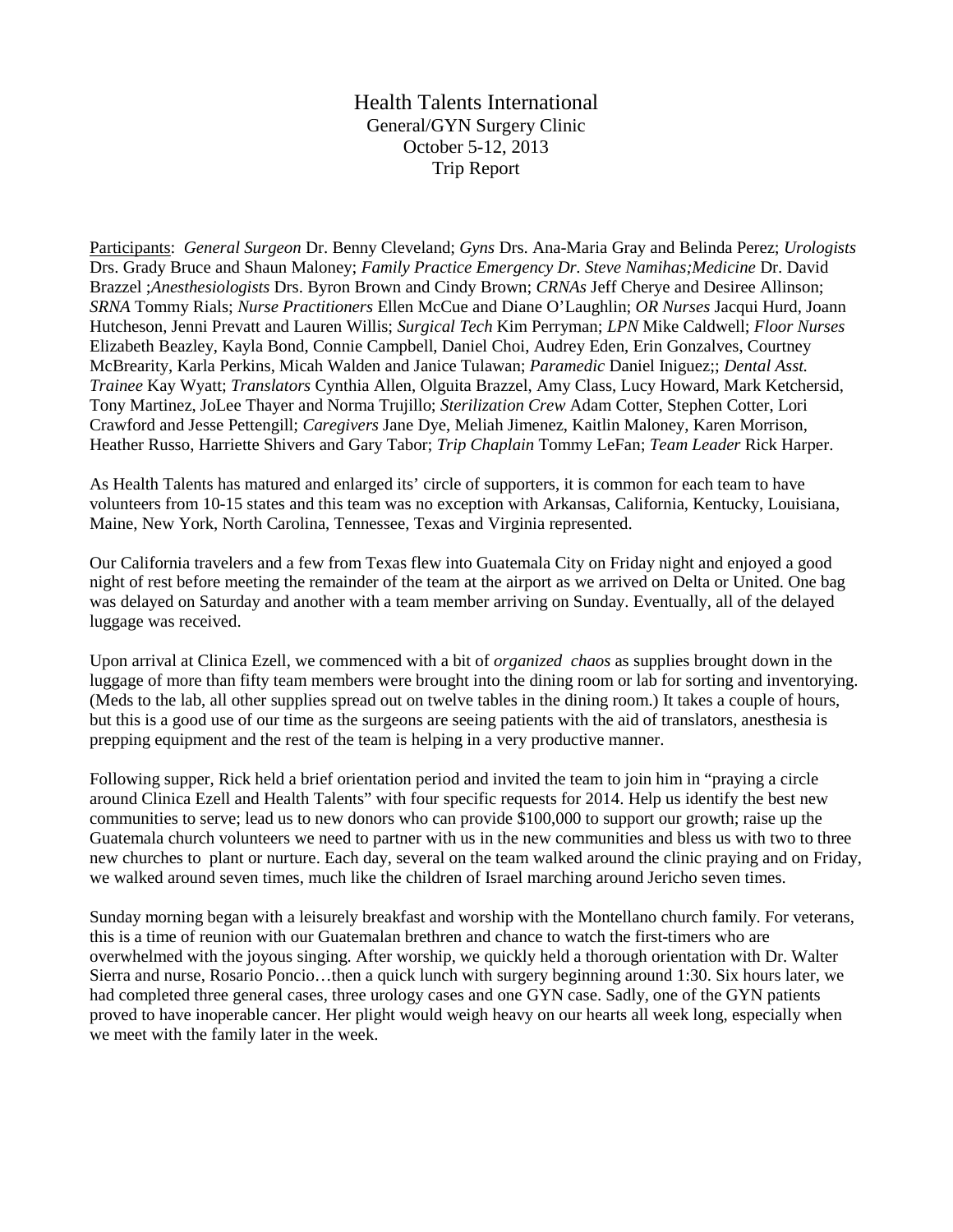Health Talents International General/GYN Surgery Clinic October 5-12, 2013 Trip Report

Participants: *General Surgeon* Dr. Benny Cleveland; *Gyns* Drs. Ana-Maria Gray and Belinda Perez; *Urologists*  Drs. Grady Bruce and Shaun Maloney; *Family Practice Emergency Dr. Steve Namihas;Medicine* Dr. David Brazzel ;*Anesthesiologists* Drs. Byron Brown and Cindy Brown; *CRNAs* Jeff Cherye and Desiree Allinson; *SRNA* Tommy Rials; *Nurse Practitioners* Ellen McCue and Diane O'Laughlin; *OR Nurses* Jacqui Hurd, Joann Hutcheson, Jenni Prevatt and Lauren Willis; *Surgical Tech* Kim Perryman; *LPN* Mike Caldwell; *Floor Nurses* Elizabeth Beazley, Kayla Bond, Connie Campbell, Daniel Choi, Audrey Eden, Erin Gonzalves, Courtney McBrearity, Karla Perkins, Micah Walden and Janice Tulawan; *Paramedic* Daniel Iniguez;; *Dental Asst. Trainee* Kay Wyatt; *Translators* Cynthia Allen, Olguita Brazzel, Amy Class, Lucy Howard, Mark Ketchersid, Tony Martinez, JoLee Thayer and Norma Trujillo; *Sterilization Crew* Adam Cotter, Stephen Cotter, Lori Crawford and Jesse Pettengill; *Caregivers* Jane Dye, Meliah Jimenez, Kaitlin Maloney, Karen Morrison, Heather Russo, Harriette Shivers and Gary Tabor; *Trip Chaplain* Tommy LeFan; *Team Leader* Rick Harper.

As Health Talents has matured and enlarged its' circle of supporters, it is common for each team to have volunteers from 10-15 states and this team was no exception with Arkansas, California, Kentucky, Louisiana, Maine, New York, North Carolina, Tennessee, Texas and Virginia represented.

Our California travelers and a few from Texas flew into Guatemala City on Friday night and enjoyed a good night of rest before meeting the remainder of the team at the airport as we arrived on Delta or United. One bag was delayed on Saturday and another with a team member arriving on Sunday. Eventually, all of the delayed luggage was received.

Upon arrival at Clinica Ezell, we commenced with a bit of *organized chaos* as supplies brought down in the luggage of more than fifty team members were brought into the dining room or lab for sorting and inventorying. (Meds to the lab, all other supplies spread out on twelve tables in the dining room.) It takes a couple of hours, but this is a good use of our time as the surgeons are seeing patients with the aid of translators, anesthesia is prepping equipment and the rest of the team is helping in a very productive manner.

Following supper, Rick held a brief orientation period and invited the team to join him in "praying a circle around Clinica Ezell and Health Talents" with four specific requests for 2014. Help us identify the best new communities to serve; lead us to new donors who can provide \$100,000 to support our growth; raise up the Guatemala church volunteers we need to partner with us in the new communities and bless us with two to three new churches to plant or nurture. Each day, several on the team walked around the clinic praying and on Friday, we walked around seven times, much like the children of Israel marching around Jericho seven times.

Sunday morning began with a leisurely breakfast and worship with the Montellano church family. For veterans, this is a time of reunion with our Guatemalan brethren and chance to watch the first-timers who are overwhelmed with the joyous singing. After worship, we quickly held a thorough orientation with Dr. Walter Sierra and nurse, Rosario Poncio…then a quick lunch with surgery beginning around 1:30. Six hours later, we had completed three general cases, three urology cases and one GYN case. Sadly, one of the GYN patients proved to have inoperable cancer. Her plight would weigh heavy on our hearts all week long, especially when we meet with the family later in the week.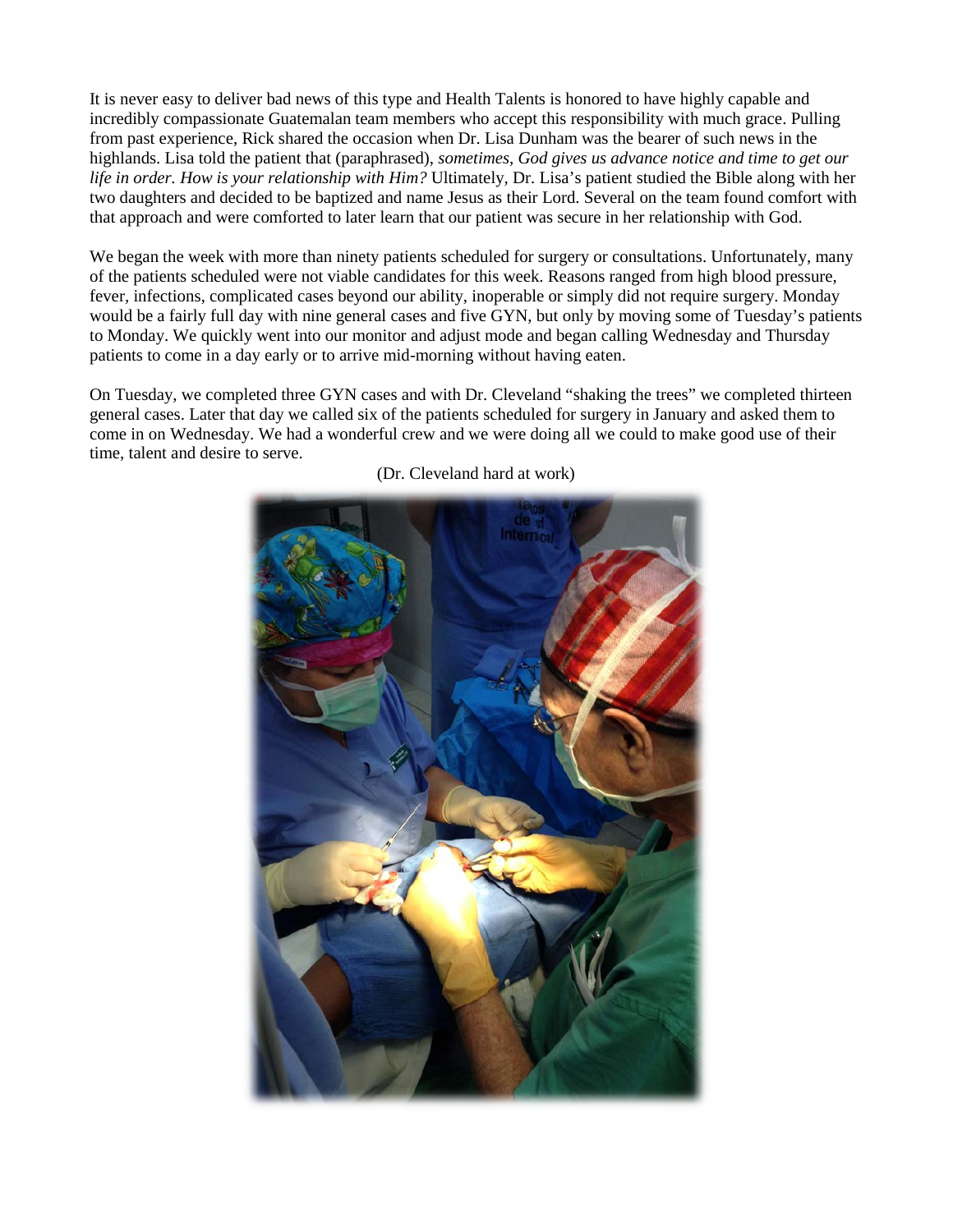It is never easy to deliver bad news of this type and Health Talents is honored to have highly capable and incredibly compassionate Guatemalan team members who accept this responsibility with much grace. Pulling from past experience, Rick shared the occasion when Dr. Lisa Dunham was the bearer of such news in the highlands. Lisa told the patient that (paraphrased), *sometimes, God gives us advance notice and time to get our life in order. How is your relationship with Him?* Ultimately, Dr. Lisa's patient studied the Bible along with her two daughters and decided to be baptized and name Jesus as their Lord. Several on the team found comfort with that approach and were comforted to later learn that our patient was secure in her relationship with God.

We began the week with more than ninety patients scheduled for surgery or consultations. Unfortunately, many of the patients scheduled were not viable candidates for this week. Reasons ranged from high blood pressure, fever, infections, complicated cases beyond our ability, inoperable or simply did not require surgery. Monday would be a fairly full day with nine general cases and five GYN, but only by moving some of Tuesday's patients to Monday. We quickly went into our monitor and adjust mode and began calling Wednesday and Thursday patients to come in a day early or to arrive mid-morning without having eaten.

On Tuesday, we completed three GYN cases and with Dr. Cleveland "shaking the trees" we completed thirteen general cases. Later that day we called six of the patients scheduled for surgery in January and asked them to come in on Wednesday. We had a wonderful crew and we were doing all we could to make good use of their time, talent and desire to serve.



(Dr. Cleveland hard at work)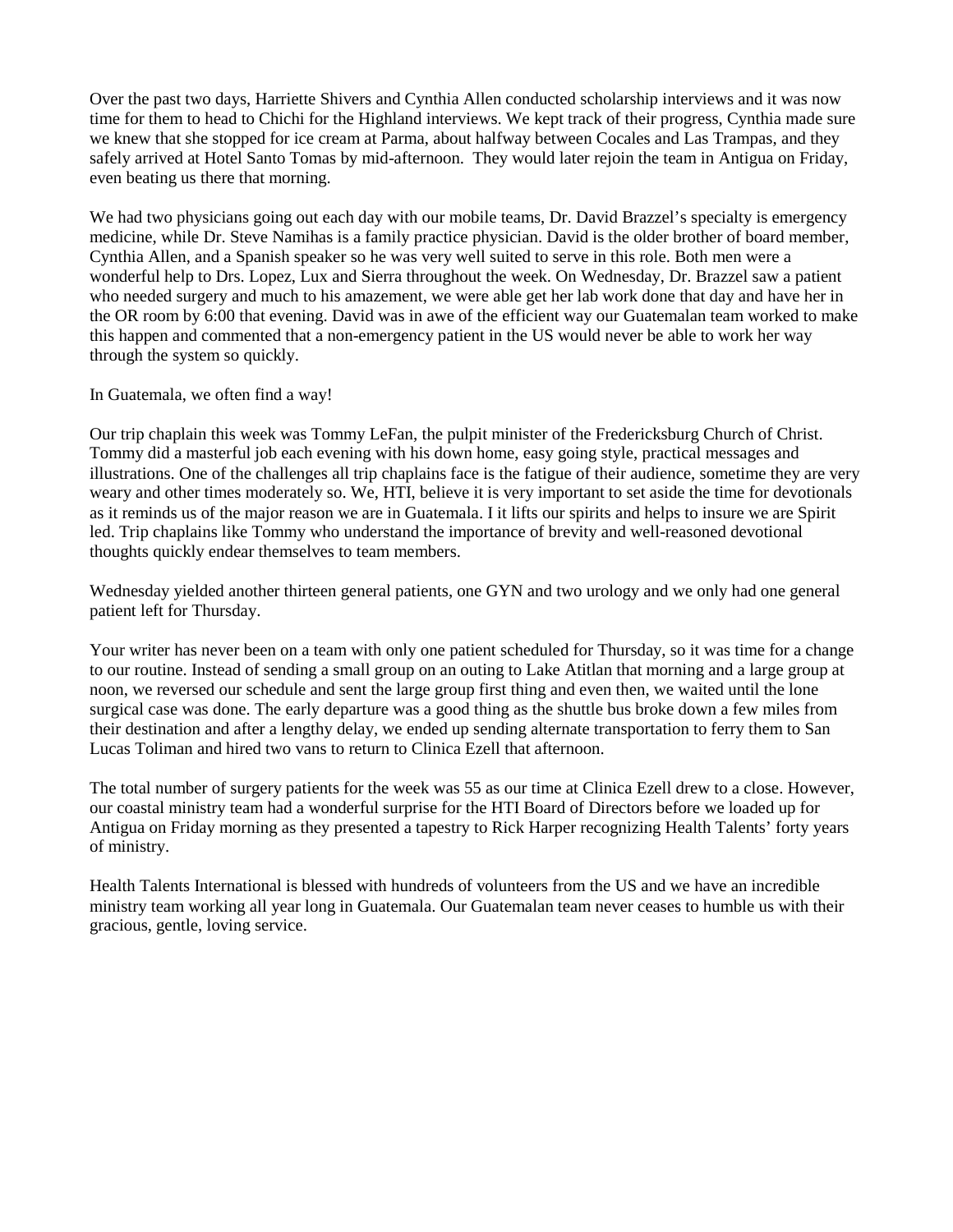Over the past two days, Harriette Shivers and Cynthia Allen conducted scholarship interviews and it was now time for them to head to Chichi for the Highland interviews. We kept track of their progress, Cynthia made sure we knew that she stopped for ice cream at Parma, about halfway between Cocales and Las Trampas, and they safely arrived at Hotel Santo Tomas by mid-afternoon. They would later rejoin the team in Antigua on Friday, even beating us there that morning.

We had two physicians going out each day with our mobile teams, Dr. David Brazzel's specialty is emergency medicine, while Dr. Steve Namihas is a family practice physician. David is the older brother of board member, Cynthia Allen, and a Spanish speaker so he was very well suited to serve in this role. Both men were a wonderful help to Drs. Lopez, Lux and Sierra throughout the week. On Wednesday, Dr. Brazzel saw a patient who needed surgery and much to his amazement, we were able get her lab work done that day and have her in the OR room by 6:00 that evening. David was in awe of the efficient way our Guatemalan team worked to make this happen and commented that a non-emergency patient in the US would never be able to work her way through the system so quickly.

In Guatemala, we often find a way!

Our trip chaplain this week was Tommy LeFan, the pulpit minister of the Fredericksburg Church of Christ. Tommy did a masterful job each evening with his down home, easy going style, practical messages and illustrations. One of the challenges all trip chaplains face is the fatigue of their audience, sometime they are very weary and other times moderately so. We, HTI, believe it is very important to set aside the time for devotionals as it reminds us of the major reason we are in Guatemala. I it lifts our spirits and helps to insure we are Spirit led. Trip chaplains like Tommy who understand the importance of brevity and well-reasoned devotional thoughts quickly endear themselves to team members.

Wednesday yielded another thirteen general patients, one GYN and two urology and we only had one general patient left for Thursday.

Your writer has never been on a team with only one patient scheduled for Thursday, so it was time for a change to our routine. Instead of sending a small group on an outing to Lake Atitlan that morning and a large group at noon, we reversed our schedule and sent the large group first thing and even then, we waited until the lone surgical case was done. The early departure was a good thing as the shuttle bus broke down a few miles from their destination and after a lengthy delay, we ended up sending alternate transportation to ferry them to San Lucas Toliman and hired two vans to return to Clinica Ezell that afternoon.

The total number of surgery patients for the week was 55 as our time at Clinica Ezell drew to a close. However, our coastal ministry team had a wonderful surprise for the HTI Board of Directors before we loaded up for Antigua on Friday morning as they presented a tapestry to Rick Harper recognizing Health Talents' forty years of ministry.

Health Talents International is blessed with hundreds of volunteers from the US and we have an incredible ministry team working all year long in Guatemala. Our Guatemalan team never ceases to humble us with their gracious, gentle, loving service.